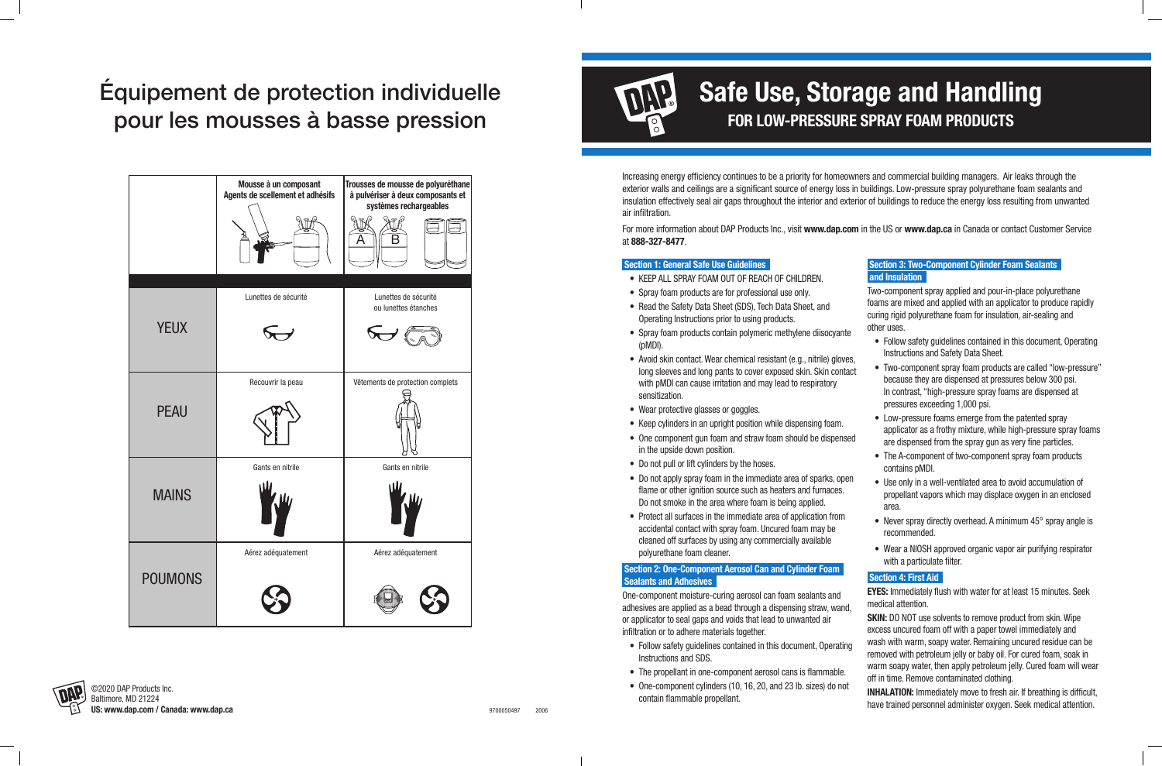

Increasing energy efficiency continues to be a priority for homeowners and commercial building managers. Air leaks through the exterior walls and ceilings are a significant source of energy loss in buildings. Low-pressure spray polyurethane foam sealants and insulation effectively seal air gaps throughout the interior and exterior of buildings to reduce the energy loss resulting from unwanted air infiltration.

For more information about DAP Products Inc., visit **www.dap.com** in the US or **www.dap.ca** in Canada or contact Customer Service at **888-327-8477**.

#### **Section 1: General Safe Use Guidelines**

- KEEP ALL SPRAY FOAM OUT OF REACH OF CHILDREN.
- Spray foam products are for professional use only.
- Read the Safety Data Sheet (SDS), Tech Data Sheet, and Operating Instructions prior to using products.
- Spray foam products contain polymeric methylene diisocyante (pMDI).
- Avoid skin contact. Wear chemical resistant (e.g., nitrile) gloves, long sleeves and long pants to cover exposed skin. Skin contact with pMDI can cause irritation and may lead to respiratory sensitization.
- Wear protective glasses or goggles.
- Keep cylinders in an upright position while dispensing foam.
- One component gun foam and straw foam should be dispensed in the upside down position.
- Do not pull or lift cylinders by the hoses.
- Do not apply spray foam in the immediate area of sparks, open flame or other ignition source such as heaters and furnaces. Do not smoke in the area where foam is being applied.
- Protect all surfaces in the immediate area of application from accidental contact with spray foam. Uncured foam may be cleaned off surfaces by using any commercially available polyurethane foam cleaner.
- Follow safety guidelines contained in this document, Operating Instructions and Safety Data Sheet.
- Two-component spray foam products are called "low-pressure" because they are dispensed at pressures below 300 psi. In contrast, "high-pressure spray foams are dispensed at pressures exceeding 1,000 psi.
- Low-pressure foams emerge from the patented spray applicator as a frothy mixture, while high-pressure spray foams are dispensed from the spray gun as very fine particles.
	- The A-component of two-component spray foam products contains pMDI.
- Use only in a well-ventilated area to avoid accumulation of propellant vapors which may displace oxygen in an enclosed area.
- Never spray directly overhead. A minimum 45° spray angle is recommended.
- Wear a NIOSH approved organic vapor air purifying respirator with a particulate filter.

#### **Section 2: One-Component Aerosol Can and Cylinder Foam Sealants and Adhesives**

One-component moisture-curing aerosol can foam sealants and adhesives are applied as a bead through a dispensing straw, wand, or applicator to seal gaps and voids that lead to unwanted air infiltration or to adhere materials together.

**SKIN:** DO NOT use solvents to remove product from skin. Wipe excess uncured foam off with a paper towel immediately and wash with warm, soapy water. Remaining uncured residue can be removed with petroleum jelly or baby oil. For cured foam, soak in warm soapy water, then apply petroleum jelly. Cured foam will wear off in time. Remove contaminated clothing.

- Follow safety guidelines contained in this document, Operating Instructions and SDS.
- The propellant in one-component aerosol cans is flammable.
- One-component cylinders (10, 16, 20, and 23 lb. sizes) do not contain flammable propellant.

| Section 3: Two-Component Cylinder Foam Sealants |  |
|-------------------------------------------------|--|
| and Insulation                                  |  |

Two-component spray applied and pour-in-place polyurethane foams are mixed and applied with an applicator to produce rapidly curing rigid polyurethane foam for insulation, air-sealing and other uses.

#### **Section 4: First Aid**

**EYES:** Immediately flush with water for at least 15 minutes. Seek medical attention.

**INHALATION:** Immediately move to fresh air. If breathing is difficult, have trained personnel administer oxygen. Seek medical attention.

# Équipement de protection individuelle pour les mousses à basse pression



### **Safe Use, Storage and Handling FOR LOW-PRESSURE SPRAY FOAM PRODUCTS**



©2020 DAP Products Inc. **US: www.dap.com / Canada: www.dap.ca**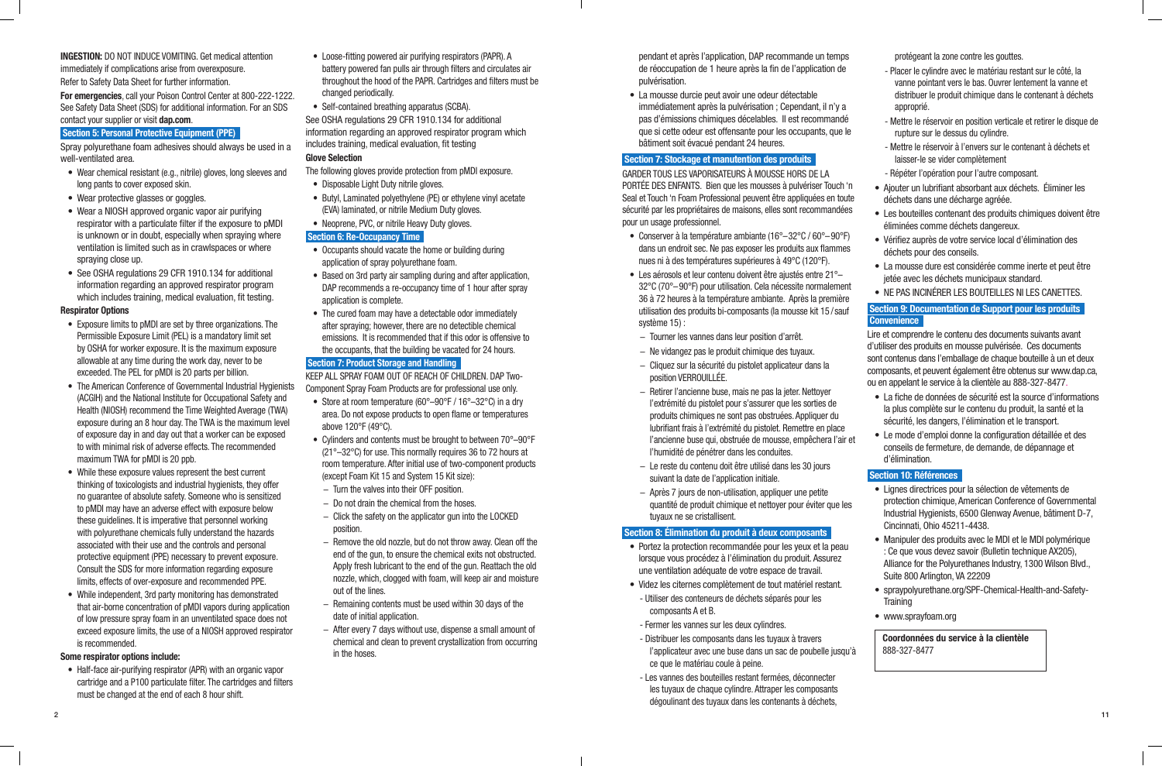**INGESTION:** DO NOT INDUCE VOMITING. Get medical attention immediately if complications arise from overexposure. Refer to Safety Data Sheet for further information.

**For emergencies**, call your Poison Control Center at 800-222-1222. See Safety Data Sheet (SDS) for additional information. For an SDS contact your supplier or visit **dap.com**.

#### **Section 5: Personal Protective Equipment (PPE)**

Spray polyurethane foam adhesives should always be used in a well-ventilated area.

- Wear chemical resistant (e.g., nitrile) gloves, long sleeves and long pants to cover exposed skin.
- Wear protective glasses or goggles.
- Wear a NIOSH approved organic vapor air purifying respirator with a particulate filter if the exposure to pMDI is unknown or in doubt, especially when spraying where ventilation is limited such as in crawlspaces or where spraying close up.
- See OSHA regulations 29 CFR 1910.134 for additional information regarding an approved respirator program which includes training, medical evaluation, fit testing.

#### **Respirator Options**

- Disposable Light Duty nitrile gloves.
- Butyl, Laminated polyethylene (PE) or ethylene vinyl acetate (EVA) laminated, or nitrile Medium Duty gloves.
- Neoprene, PVC, or nitrile Heavy Duty gloves.

- Exposure limits to pMDI are set by three organizations. The Permissible Exposure Limit (PEL) is a mandatory limit set by OSHA for worker exposure. It is the maximum exposure allowable at any time during the work day, never to be exceeded. The PEL for pMDI is 20 parts per billion.
- The American Conference of Governmental Industrial Hygienists (ACGIH) and the National Institute for Occupational Safety and Health (NIOSH) recommend the Time Weighted Average (TWA) exposure during an 8 hour day. The TWA is the maximum level of exposure day in and day out that a worker can be exposed to with minimal risk of adverse effects. The recommended maximum TWA for pMDI is 20 ppb.
- While these exposure values represent the best current thinking of toxicologists and industrial hygienists, they offer no guarantee of absolute safety. Someone who is sensitized to pMDI may have an adverse effect with exposure below these guidelines. It is imperative that personnel working with polyurethane chemicals fully understand the hazards associated with their use and the controls and personal protective equipment (PPE) necessary to prevent exposure. Consult the SDS for more information regarding exposure limits, effects of over-exposure and recommended PPE.
- While independent, 3rd party monitoring has demonstrated that air-borne concentration of pMDI vapors during application of low pressure spray foam in an unventilated space does not exceed exposure limits, the use of a NIOSH approved respirator is recommended.
- Store at room temperature (60°–90°F / 16°–32°C) in a dry area. Do not expose products to open flame or temperatures above 120°F (49°C).
- Cylinders and contents must be brought to between 70°–90°F (21°–32°C) for use. This normally requires 36 to 72 hours at room temperature. After initial use of two-component products (except Foam Kit 15 and System 15 Kit size):
- − Turn the valves into their OFF position.
- − Do not drain the chemical from the hoses.
- − Click the safety on the applicator gun into the LOCKED position.
- − Remove the old nozzle, but do not throw away. Clean off the end of the gun, to ensure the chemical exits not obstructed. Apply fresh lubricant to the end of the gun. Reattach the old nozzle, which, clogged with foam, will keep air and moisture out of the lines.
- − Remaining contents must be used within 30 days of the date of initial application.
- − After every 7 days without use, dispense a small amount of chemical and clean to prevent crystallization from occurring in the hoses.

#### **Some respirator options include:**

• Half-face air-purifying respirator (APR) with an organic vapor cartridge and a P100 particulate filter. The cartridges and filters must be changed at the end of each 8 hour shift.

- Loose-fitting powered air purifying respirators (PAPR). A battery powered fan pulls air through filters and circulates air throughout the hood of the PAPR. Cartridges and filters must be changed periodically.
- Self-contained breathing apparatus (SCBA).

See OSHA regulations 29 CFR 1910.134 for additional information regarding an approved respirator program which includes training, medical evaluation, fit testing

#### **Glove Selection**

The following gloves provide protection from pMDI exposure.

#### **Section 6: Re-Occupancy Time**

- Occupants should vacate the home or building during application of spray polyurethane foam.
- Based on 3rd party air sampling during and after application, DAP recommends a re-occupancy time of 1 hour after spray application is complete.
- The cured foam may have a detectable odor immediately after spraying; however, there are no detectible chemical emissions. It is recommended that if this odor is offensive to the occupants, that the building be vacated for 24 hours.

#### **Section 7: Product Storage and Handling**

KEEP ALL SPRAY FOAM OUT OF REACH OF CHILDREN. DAP Two-Component Spray Foam Products are for professional use only.

- 
- 

- 
- 

 pendant et après l'application, DAP recommande un temps de réoccupation de 1 heure après la fin de l'application de pulvérisation.

• La mousse durcie peut avoir une odeur détectable immédiatement après la pulvérisation ; Cependant, il n'y a pas d'émissions chimiques décelables. Il est recommandé que si cette odeur est offensante pour les occupants, que le bâtiment soit évacué pendant 24 heures.

#### **Section 7: Stockage et manutention des produits**

GARDER TOUS LES VAPORISATEURS À MOUSSE HORS DE LA PORTÉE DES ENFANTS. Bien que les mousses à pulvériser Touch 'n Seal et Touch 'n Foam Professional peuvent être appliquées en toute sécurité par les propriétaires de maisons, elles sont recommandées pour un usage professionnel.

- Conserver à la température ambiante (16°–32°C / 60°–90°F) dans un endroit sec. Ne pas exposer les produits aux flammes nues ni à des températures supérieures à 49°C (120°F).
- Les aérosols et leur contenu doivent être ajustés entre 21°– 32°C (70°–90°F) pour utilisation. Cela nécessite normalement 36 à 72 heures à la température ambiante. Après la première utilisation des produits bi-composants (la mousse kit 15 /sauf système 15) :
- − Tourner les vannes dans leur position d'arrêt.
- − Ne vidangez pas le produit chimique des tuyaux.
- − Cliquez sur la sécurité du pistolet applicateur dans la position VERROUILLÉE.
- − Retirer l'ancienne buse, mais ne pas la jeter. Nettoyer l'extrémité du pistolet pour s'assurer que les sorties de produits chimiques ne sont pas obstruées. Appliquer du lubrifiant frais à l'extrémité du pistolet. Remettre en place l'ancienne buse qui, obstruée de mousse, empêchera l'air et l'humidité de pénétrer dans les conduites.
- − Le reste du contenu doit être utilisé dans les 30 jours suivant la date de l'application initiale.
- − Après 7 jours de non-utilisation, appliquer une petite quantité de produit chimique et nettoyer pour éviter que les tuyaux ne se cristallisent.

#### **Section 8: Élimination du produit à deux composants**

- Portez la protection recommandée pour les yeux et la peau lorsque vous procédez à l'élimination du produit. Assurez une ventilation adéquate de votre espace de travail.
- Videz les citernes complètement de tout matériel restant.
- Utiliser des conteneurs de déchets séparés pour les composants A et B.
- Fermer les vannes sur les deux cylindres.
- Distribuer les composants dans les tuyaux à travers l'applicateur avec une buse dans un sac de poubelle jusqu'à ce que le matériau coule à peine.
- Les vannes des bouteilles restant fermées, déconnecter les tuyaux de chaque cylindre. Attraper les composants dégoulinant des tuyaux dans les contenants à déchets,

protégeant la zone contre les gouttes.

- Placer le cylindre avec le matériau restant sur le côté, la vanne pointant vers le bas. Ouvrer lentement la vanne et distribuer le produit chimique dans le contenant à déchets approprié.
- Mettre le réservoir en position verticale et retirer le disque de rupture sur le dessus du cylindre.
- Mettre le réservoir à l'envers sur le contenant à déchets et laisser-le se vider complètement
- Répéter l'opération pour l'autre composant.
- Ajouter un lubrifiant absorbant aux déchets. Éliminer les déchets dans une décharge agréée.
- Les bouteilles contenant des produits chimiques doivent être éliminées comme déchets dangereux.
- Vérifiez auprès de votre service local d'élimination des déchets pour des conseils.
- La mousse dure est considérée comme inerte et peut être jetée avec les déchets municipaux standard.
- NE PAS INCINÉRER LES BOUTEILLES NI LES CANETTES.

### **Section 9: Documentation de Support pour les produits Convenience**

Lire et comprendre le contenu des documents suivants avant d'utiliser des produits en mousse pulvérisée. Ces documents sont contenus dans l'emballage de chaque bouteille à un et deux composants, et peuvent également être obtenus sur www.dap.ca, ou en appelant le service à la clientèle au 888-327-8477.

- La fiche de données de sécurité est la source d'informations la plus complète sur le contenu du produit, la santé et la sécurité, les dangers, l'élimination et le transport.
- Le mode d'emploi donne la configuration détaillée et des conseils de fermeture, de demande, de dépannage et d'élimination.

#### **Section 10: Références**

- Lignes directrices pour la sélection de vêtements de protection chimique, American Conference of Governmental Industrial Hygienists, 6500 Glenway Avenue, bâtiment D-7, Cincinnati, Ohio 45211-4438.
- Manipuler des produits avec le MDI et le MDI polymérique : Ce que vous devez savoir (Bulletin technique AX205), Alliance for the Polyurethanes Industry, 1300 Wilson Blvd., Suite 800 Arlington, VA 22209
- spraypolyurethane.org/SPF-Chemical-Health-and-Safety-Training
- www.sprayfoam.org

### **Coordonnées du service à la clientèle**  888-327-8477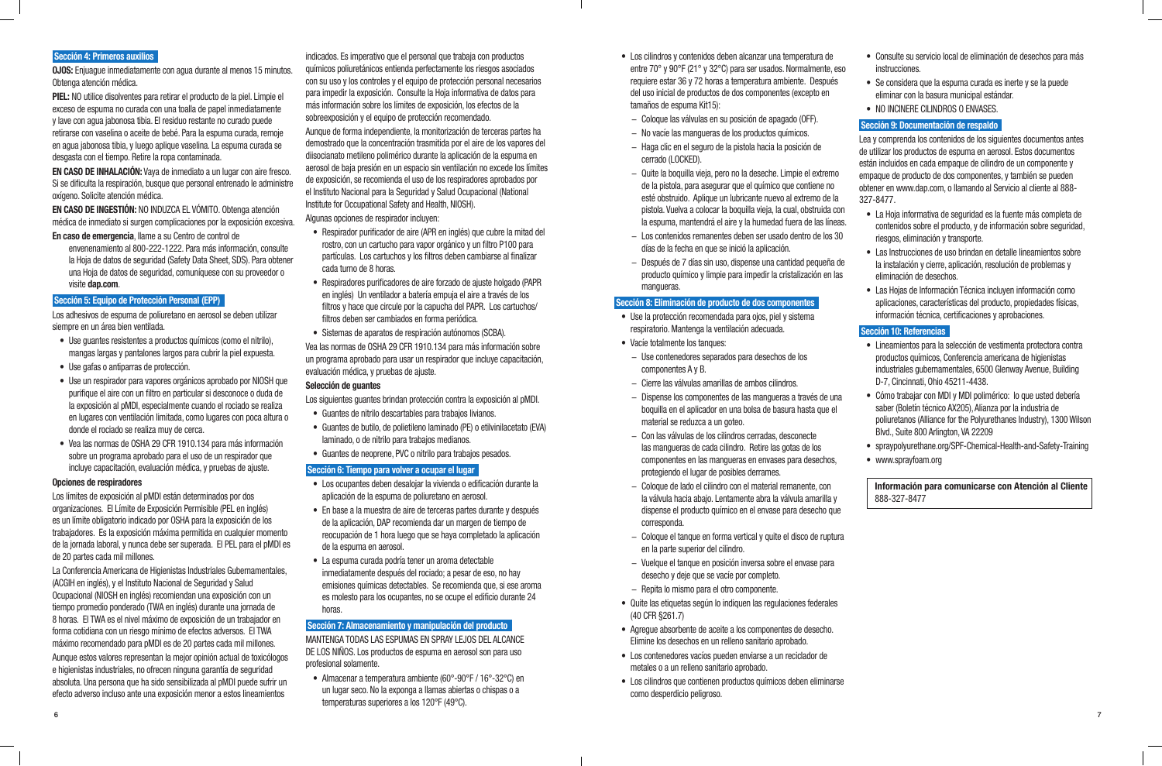#### **Sección 4: Primeros auxilios**

**OJOS:** Enjuague inmediatamente con agua durante al menos 15 minutos. Obtenga atención médica.

**PIEL:** NO utilice disolventes para retirar el producto de la piel. Limpie el exceso de espuma no curada con una toalla de papel inmediatamente y lave con agua jabonosa tibia. El residuo restante no curado puede retirarse con vaselina o aceite de bebé. Para la espuma curada, remoje en agua jabonosa tibia, y luego aplique vaselina. La espuma curada se desgasta con el tiempo. Retire la ropa contaminada.

**EN CASO DE INHALACIÓN:** Vaya de inmediato a un lugar con aire fresco. Si se dificulta la respiración, busque que personal entrenado le administre oxígeno. Solicite atención médica.

**EN CASO DE INGESTIÓN:** NO INDUZCA EL VÓMITO. Obtenga atención médica de inmediato si surgen complicaciones por la exposición excesiva.

**En caso de emergencia**, llame a su Centro de control de

envenenamiento al 800-222-1222. Para más información, consulte la Hoja de datos de seguridad (Safety Data Sheet, SDS). Para obtener una Hoja de datos de seguridad, comuníquese con su proveedor o visite **dap.com**.

#### **Sección 5: Equipo de Protección Personal (EPP)**

Los adhesivos de espuma de poliuretano en aerosol se deben utilizar siempre en un área bien ventilada.

- Use guantes resistentes a productos químicos (como el nitrilo), mangas largas y pantalones largos para cubrir la piel expuesta.
- Use gafas o antiparras de protección.
- Use un respirador para vapores orgánicos aprobado por NIOSH que purifique el aire con un filtro en particular si desconoce o duda de la exposición al pMDI, especialmente cuando el rociado se realiza en lugares con ventilación limitada, como lugares con poca altura o donde el rociado se realiza muy de cerca.
- Vea las normas de OSHA 29 CFR 1910.134 para más información sobre un programa aprobado para el uso de un respirador que incluye capacitación, evaluación médica, y pruebas de ajuste.

#### **Opciones de respiradores**

Los límites de exposición al pMDI están determinados por dos organizaciones. El Límite de Exposición Permisible (PEL en inglés) es un límite obligatorio indicado por OSHA para la exposición de los trabajadores. Es la exposición máxima permitida en cualquier momento de la jornada laboral, y nunca debe ser superada. El PEL para el pMDI es de 20 partes cada mil millones.

La Conferencia Americana de Higienistas Industriales Gubernamentales, (ACGIH en inglés), y el Instituto Nacional de Seguridad y Salud Ocupacional (NIOSH en inglés) recomiendan una exposición con un tiempo promedio ponderado (TWA en inglés) durante una jornada de 8 horas. El TWA es el nivel máximo de exposición de un trabajador en forma cotidiana con un riesgo mínimo de efectos adversos. El TWA máximo recomendado para pMDI es de 20 partes cada mil millones.

Aunque estos valores representan la mejor opinión actual de toxicólogos e higienistas industriales, no ofrecen ninguna garantía de seguridad absoluta. Una persona que ha sido sensibilizada al pMDI puede sufrir un efecto adverso incluso ante una exposición menor a estos lineamientos

indicados. Es imperativo que el personal que trabaja con productos químicos poliuretánicos entienda perfectamente los riesgos asociados con su uso y los controles y el equipo de protección personal necesarios para impedir la exposición. Consulte la Hoja informativa de datos para más información sobre los límites de exposición, los efectos de la sobreexposición y el equipo de protección recomendado.

Aunque de forma independiente, la monitorización de terceras partes ha demostrado que la concentración trasmitida por el aire de los vapores del diisocianato metileno polimérico durante la aplicación de la espuma en aerosol de baja presión en un espacio sin ventilación no excede los límites de exposición, se recomienda el uso de los respiradores aprobados por el Instituto Nacional para la Seguridad y Salud Ocupacional (National Institute for Occupational Safety and Health, NIOSH).

Algunas opciones de respirador incluyen:

- Respirador purificador de aire (APR en inglés) que cubre la mitad del rostro, con un cartucho para vapor orgánico y un filtro P100 para partículas. Los cartuchos y los filtros deben cambiarse al finalizar cada turno de 8 horas.
- Respiradores purificadores de aire forzado de ajuste holgado (PAPR en inglés) Un ventilador a batería empuja el aire a través de los filtros y hace que circule por la capucha del PAPR. Los cartuchos/ filtros deben ser cambiados en forma periódica.
- Sistemas de aparatos de respiración autónomos (SCBA).

Vea las normas de OSHA 29 CFR 1910.134 para más información sobre un programa aprobado para usar un respirador que incluye capacitación, evaluación médica, y pruebas de ajuste.

#### **Selección de guantes**

Los siguientes guantes brindan protección contra la exposición al pMDI.

- Guantes de nitrilo descartables para trabajos livianos.
- Guantes de butilo, de polietileno laminado (PE) o etilvinilacetato (EVA) laminado, o de nitrilo para trabajos medianos.
- Guantes de neoprene, PVC o nitrilo para trabajos pesados.

#### **Sección 6: Tiempo para volver a ocupar el lugar**

- Los ocupantes deben desalojar la vivienda o edificación durante la aplicación de la espuma de poliuretano en aerosol.
- En base a la muestra de aire de terceras partes durante y después de la aplicación, DAP recomienda dar un margen de tiempo de reocupación de 1 hora luego que se haya completado la aplicación de la espuma en aerosol.
- La espuma curada podría tener un aroma detectable inmediatamente después del rociado; a pesar de eso, no hay emisiones químicas detectables. Se recomienda que, si ese aroma es molesto para los ocupantes, no se ocupe el edificio durante 24 horas.

#### **Sección 7: Almacenamiento y manipulación del producto**

MANTENGA TODAS LAS ESPUMAS EN SPRAY LEJOS DEL ALCANCE DE LOS NIÑOS. Los productos de espuma en aerosol son para uso profesional solamente.

• Almacenar a temperatura ambiente (60°-90°F / 16°-32°C) en un lugar seco. No la exponga a llamas abiertas o chispas o a temperaturas superiores a los 120°F (49°C).

- Los cilindros y contenidos deben alcanzar una temperatura de entre 70° y 90°F (21° y 32°C) para ser usados. Normalmente, requiere estar 36 y 72 horas a temperatura ambiente. Despué del uso inicial de productos de dos componentes (excepto en tamaños de espuma Kit15):
- − Coloque las válvulas en su posición de apagado (OFF).
- − No vacíe las mangueras de los productos químicos.
- − Haga clic en el seguro de la pistola hacia la posición de cerrado (LOCKED).
- − Quite la boquilla vieja, pero no la deseche. Limpie el extremo de la pistola, para asegurar que el químico que contiene no esté obstruido. Aplique un lubricante nuevo al extremo de pistola. Vuelva a colocar la boquilla vieja, la cual, obstruida la espuma, mantendrá el aire y la humedad fuera de las lí
- − Los contenidos remanentes deben ser usado dentro de los 30 días de la fecha en que se inició la aplicación.
- − Después de 7 días sin uso, dispense una cantidad pequeña producto químico y limpie para impedir la cristalización en mangueras.

#### **Sección 8: Eliminación de producto de dos componentes**

- Use la protección recomendada para ojos, piel y sistema respiratorio. Mantenga la ventilación adecuada.
- Vacíe totalmente los tanques:
	- − Use contenedores separados para desechos de los componentes A y B.
	- − Cierre las válvulas amarillas de ambos cilindros.
	- − Dispense los componentes de las mangueras a través de boquilla en el aplicador en una bolsa de basura hasta que material se reduzca a un goteo.
	- − Con las válvulas de los cilindros cerradas, desconecte las mangueras de cada cilindro. Retire las gotas de los componentes en las mangueras en envases para desechos, protegiendo el lugar de posibles derrames.
- − Coloque de lado el cilindro con el material remanente, con la válvula hacia abajo. Lentamente abra la válvula amarilla dispense el producto químico en el envase para desecho que corresponda.
- − Coloque el tanque en forma vertical y quite el disco de ruptu en la parte superior del cilindro.
- − Vuelque el tanque en posición inversa sobre el envase para desecho y deje que se vacíe por completo.
- − Repita lo mismo para el otro componente.
- Quite las etiquetas según lo indiquen las regulaciones federales (40 CFR §261.7)
- Agregue absorbente de aceite a los componentes de desecho. Elimine los desechos en un relleno sanitario aprobado.
- Los contenedores vacíos pueden enviarse a un reciclador de metales o a un relleno sanitario aprobado.
- Los cilindros que contienen productos químicos deben eliminarse como desperdicio peligroso.

• Consulte su servicio local de eliminación de desechos para más

- 
- 
- 

| σ.<br>, eso<br>és      | <u>UUISUILE SU SEI VIUU IUUAI UE EIIIIIIIAUUII UE UESEUIUS PALA IIIAS</u><br>instrucciones.<br>• Se considera que la espuma curada es inerte y se la puede<br>eliminar con la basura municipal estándar.<br>NO INCINERE CILINDROS O ENVASES.<br>$\bullet$                                                                                                |
|------------------------|----------------------------------------------------------------------------------------------------------------------------------------------------------------------------------------------------------------------------------------------------------------------------------------------------------------------------------------------------------|
|                        | Sección 9: Documentación de respaldo                                                                                                                                                                                                                                                                                                                     |
| mo<br>0<br>: la        | Lea y comprenda los contenidos de los siguientes documentos antes<br>de utilizar los productos de espuma en aerosol. Estos documentos<br>están incluidos en cada empaque de cilindro de un componente y<br>empaque de producto de dos componentes, y también se pueden<br>obtener en www.dap.com, o llamando al Servicio al cliente al 888-<br>327-8477. |
| l CON<br>neas.<br>s 30 | La Hoja informativa de seguridad es la fuente más completa de<br>contenidos sobre el producto, y de información sobre seguridad,<br>riesgos, eliminación y transporte.                                                                                                                                                                                   |
| ia de<br>las           | Las Instrucciones de uso brindan en detalle lineamientos sobre<br>la instalación y cierre, aplicación, resolución de problemas y<br>eliminación de desechos.                                                                                                                                                                                             |
|                        | • Las Hojas de Información Técnica incluyen información como<br>aplicaciones, características del producto, propiedades físicas,<br>información técnica, certificaciones y aprobaciones.                                                                                                                                                                 |
|                        | Sección 10: Referencias                                                                                                                                                                                                                                                                                                                                  |
|                        | Lineamientos para la selección de vestimenta protectora contra<br>productos químicos, Conferencia americana de higienistas<br>industriales gubernamentales, 6500 Glenway Avenue, Building<br>D-7, Cincinnati, Ohio 45211-4438.                                                                                                                           |
| una<br>el              | Cómo trabajar con MDI y MDI polimérico: lo que usted debería<br>$\bullet$<br>saber (Boletín técnico AX205), Alianza por la industria de<br>poliuretanos (Alliance for the Polyurethanes Industry), 1300 Wilson<br>Blvd., Suite 800 Arlington, VA 22209                                                                                                   |
| ΙS,                    | spraypolyurethane.org/SPF-Chemical-Health-and-Safety-Training<br>• www.sprayfoam.org                                                                                                                                                                                                                                                                     |
| l y<br>que             | Información para comunicarse con Atención al Cliente<br>888-327-8477                                                                                                                                                                                                                                                                                     |
| ıtura                  |                                                                                                                                                                                                                                                                                                                                                          |
| a                      |                                                                                                                                                                                                                                                                                                                                                          |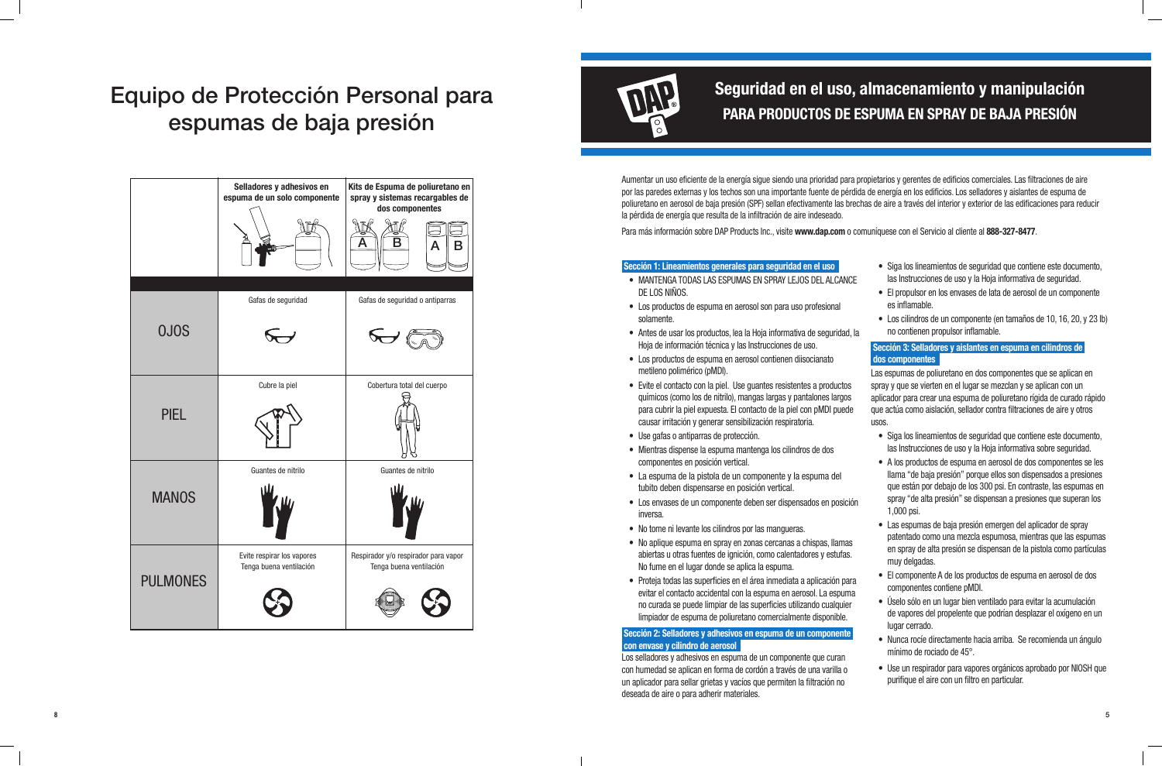Aumentar un uso eficiente de la energía sigue siendo una prioridad para propietarios y gerentes de edificios comerciales. Las filtraciones de aire por las paredes externas y los techos son una importante fuente de pérdida de energía en los edificios. Los selladores y aislantes de espuma de poliuretano en aerosol de baja presión (SPF) sellan efectivamente las brechas de aire a través del interior y exterior de las edificaciones para reducir la pérdida de energía que resulta de la infiltración de aire indeseado. Para más información sobre DAP Products Inc., visite **www.dap.com** o comuníquese con el Servicio al cliente al **888-327-8477**.

#### **Sección 1: Lineamientos generales para seguridad en el u**

- MANTENGA TODAS LAS ESPUMAS EN SPRAY LEJOS DEL DE LOS NIÑOS.
- Los productos de espuma en aerosol son para uso profes solamente.
- Antes de usar los productos, lea la Hoja informativa de segura Hoja de información técnica y las Instrucciones de uso.
- Los productos de espuma en aerosol contienen diisociana metileno polimérico (pMDI).
- Evite el contacto con la piel. Use guantes resistentes a productos químicos (como los de nitrilo), mangas largas y pantalones para cubrir la piel expuesta. El contacto de la piel con pMI causar irritación y generar sensibilización respiratoria.
- Use gafas o antiparras de protección.
- Mientras dispense la espuma mantenga los cilindros de dos componentes en posición vertical.
- La espuma de la pistola de un componente y la espuma tubito deben dispensarse en posición vertical.
- Los envases de un componente deben ser dispensados en inversa.
- No tome ni levante los cilindros por las mangueras.
- No aplique espuma en spray en zonas cercanas a chispas abiertas u otras fuentes de ignición, como calentadores y No fume en el lugar donde se aplica la espuma.
- Proteja todas las superficies en el área inmediata a aplica evitar el contacto accidental con la espuma en aerosol. La no curada se puede limpiar de las superficies utilizando cu limpiador de espuma de poliuretano comercialmente disp

#### **Sección 2: Selladores y adhesivos en espuma de un componente a la ponenta a la ponenta a la ponenta a la ponente a la ponentia a la ponentia**  $\frac{1}{2}$  **con envase y cilindro de aerosol**

Los selladores y adhesivos en espuma de un componente que con humedad se aplican en forma de cordón a través de una v un aplicador para sellar grietas y vacíos que permiten la filtraci deseada de aire o para adherir materiales.

| <b>ISO</b><br><b>ALCANCE</b><br>ional<br>guridad, la | • Siga los lineamientos de seguridad que contiene este documento,<br>las Instrucciones de uso y la Hoja informativa de seguridad.<br>• El propulsor en los envases de lata de aerosol de un componente<br>es inflamable.<br>• Los cilindros de un componente (en tamaños de 10, 16, 20, y 23 lb)<br>no contienen propulsor inflamable. |
|------------------------------------------------------|----------------------------------------------------------------------------------------------------------------------------------------------------------------------------------------------------------------------------------------------------------------------------------------------------------------------------------------|
|                                                      | Sección 3: Selladores y aislantes en espuma en cilindros de                                                                                                                                                                                                                                                                            |
| ato                                                  | dos componentes                                                                                                                                                                                                                                                                                                                        |
| oductos<br>s largos<br>DI puede                      | Las espumas de poliuretano en dos componentes que se aplican en<br>spray y que se vierten en el lugar se mezclan y se aplican con un<br>aplicador para crear una espuma de poliuretano rígida de curado rápido<br>que actúa como aislación, sellador contra filtraciones de aire y otros<br>usos.                                      |
| los                                                  | • Siga los lineamientos de seguridad que contiene este documento,<br>las Instrucciones de uso y la Hoja informativa sobre seguridad.                                                                                                                                                                                                   |
| a del                                                | A los productos de espuma en aerosol de dos componentes se les<br>llama "de baja presión" porque ellos son dispensados a presiones<br>que están por debajo de los 300 psi. En contraste, las espumas en                                                                                                                                |
| n posición                                           | spray "de alta presión" se dispensan a presiones que superan los<br>1,000 psi.                                                                                                                                                                                                                                                         |
| s, llamas<br>estufas.                                | Las espumas de baja presión emergen del aplicador de spray<br>patentado como una mezcla espumosa, mientras que las espumas<br>en spray de alta presión se dispensan de la pistola como partículas<br>muy delgadas.                                                                                                                     |
| ıción para<br>a espuma                               | El componente A de los productos de espuma en aerosol de dos<br>componentes contiene pMDI.                                                                                                                                                                                                                                             |
| ualquier<br>onible.                                  | Úselo sólo en un lugar bien ventilado para evitar la acumulación<br>de vapores del propelente que podrían desplazar el oxígeno en un<br>lugar cerrado.                                                                                                                                                                                 |
| <b>ponente</b><br>curan                              | Nunca rocíe directamente hacia arriba. Se recomienda un ángulo<br>$\bullet$<br>mínimo de rociado de 45°.                                                                                                                                                                                                                               |
| arilla o<br>ión no                                   | • Use un respirador para vapores orgánicos aprobado por NIOSH que<br>purifique el aire con un filtro en particular.                                                                                                                                                                                                                    |
|                                                      |                                                                                                                                                                                                                                                                                                                                        |

## Equipo de Protección Personal para espumas de baja presión

|                 | Selladores y adhesivos en<br>espuma de un solo componente | Kits de Espuma de poliuretano en<br>spray y sistemas recargables de<br>dos componentes<br># lP |
|-----------------|-----------------------------------------------------------|------------------------------------------------------------------------------------------------|
|                 |                                                           | Β                                                                                              |
|                 | Gafas de seguridad                                        | Gafas de seguridad o antiparras                                                                |
| <b>OJOS</b>     |                                                           |                                                                                                |
| <b>PIEL</b>     | Cubre la piel                                             | Cobertura total del cuerpo                                                                     |
|                 |                                                           |                                                                                                |
| <b>MANOS</b>    | Guantes de nitrilo                                        | Guantes de nitrilo                                                                             |
|                 |                                                           |                                                                                                |
| <b>PULMONES</b> | Evite respirar los vapores<br>Tenga buena ventilación     | Respirador y/o respirador para vapor<br>Tenga buena ventilación                                |
|                 |                                                           |                                                                                                |



### **Seguridad en el uso, almacenamiento y manipulación PARA PRODUCTOS DE ESPUMA EN SPRAY DE BAJA PRESIÓN**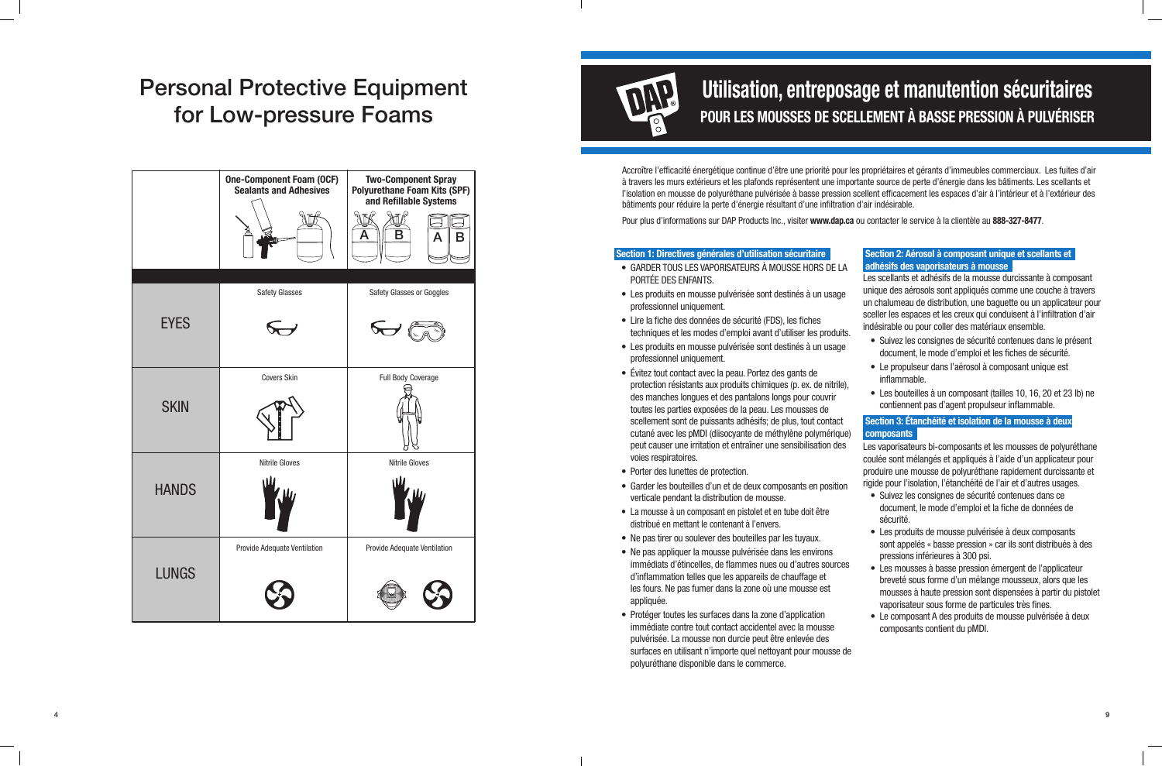Accroître l'efficacité énergétique continue d'être une priorité pour les propriétaires et gérants d'immeubles commerciaux. Les fuites d'air à travers les murs extérieurs et les plafonds représentent une importante source de perte d'énergie dans les bâtiments. Les scellants et l'isolation en mousse de polyuréthane pulvérisée à basse pression scellent efficacement les espaces d'air à l'intérieur et à l'extérieur des bâtiments pour réduire la perte d'énergie résultant d'une infiltration d'air indésirable.

Pour plus d'informations sur DAP Products Inc., visiter **www.dap.ca** ou contacter le service à la clientèle au **888-327-8477** .

#### **Section 1: Directives générales d'utilisation sécuritaire**

- $\bullet$  GARDER TOUS LES VAPORISATEURS À MOUSSE HORS PORTÉE DES ENFANTS.
- Les produits en mousse pulvérisée sont destinés à un professionnel uniquement.
- Lire la fiche des données de sécurité (FDS), les fiches techniques et les modes d'emploi avant d'utiliser les p
- Les produits en mousse pulvérisée sont destinés à un professionnel uniquement.
- Évitez tout contact avec la peau. Portez des gants de protection résistants aux produits chimiques (p. ex. de des manches longues et des pantalons longs pour cou toutes les parties exposées de la peau. Les mousses de scellement sont de puissants adhésifs; de plus, tout contact cutané avec les pMDI (diisocyante de méthylène polym peut causer une irritation et entraîner une sensibilisation voies respiratoires.
- Porter des lunettes de protection.
- Garder les bouteilles d'un et de deux composants en position verticale pendant la distribution de mousse.
- La mousse à un composant en pistolet et en tube doit être distribué en mettant le contenant à l'envers.
- Ne pas tirer ou soulever des bouteilles par les tuyaux.
- Ne pas appliquer la mousse pulvérisée dans les environs immédiats d'étincelles, de flammes nues ou d'autres s d'inflammation telles que les appareils de chauffage et les fours. Ne pas fumer dans la zone où une mousse est appliquée.
- Protéger toutes les surfaces dans la zone d'application immédiate contre tout contact accidentel avec la mous pulvérisée. La mousse non durcie peut être enlevée de surfaces en utilisant n'importe quel nettoyant pour mous polyuréthane disponible dans le commerce.

| ļ                  | Section 2: Aérosol à composant unique et scellants et                                                                                                                                                                                                              |
|--------------------|--------------------------------------------------------------------------------------------------------------------------------------------------------------------------------------------------------------------------------------------------------------------|
| DE LA              | adhésifs des vaporisateurs à mousse<br>Les scellants et adhésifs de la mousse durcissante à composant                                                                                                                                                              |
| usage<br>roduits.  | unique des aérosols sont appliqués comme une couche à travers<br>un chalumeau de distribution, une baguette ou un applicateur pour<br>sceller les espaces et les creux qui conduisent à l'infiltration d'air<br>indésirable ou pour coller des matériaux ensemble. |
| usage              | · Suivez les consignes de sécurité contenues dans le présent<br>document, le mode d'emploi et les fiches de sécurité.                                                                                                                                              |
| nitrile),<br>vrir  | • Le propulseur dans l'aérosol à composant unique est<br>inflammable.<br>• Les bouteilles à un composant (tailles 10, 16, 20 et 23 lb) ne                                                                                                                          |
| e                  | contiennent pas d'agent propulseur inflammable.                                                                                                                                                                                                                    |
| ntact<br>iérique)  | Section 3: Étanchéité et isolation de la mousse à deux<br><b>composants</b>                                                                                                                                                                                        |
| on des             | Les vaporisateurs bi-composants et les mousses de polyuréthane<br>coulée sont mélangés et appliqués à l'aide d'un applicateur pour<br>produire une mousse de polyuréthane rapidement durcissante et                                                                |
| osition            | rigide pour l'isolation, l'étanchéité de l'air et d'autres usages.<br>Suivez les consignes de sécurité contenues dans ce                                                                                                                                           |
| ë                  | document, le mode d'emploi et la fiche de données de<br>sécurité.                                                                                                                                                                                                  |
| ns                 | • Les produits de mousse pulvérisée à deux composants<br>sont appelés « basse pression » car ils sont distribués à des<br>pressions inférieures à 300 psi.                                                                                                         |
| sources<br>t<br>st | • Les mousses à basse pression émergent de l'applicateur<br>breveté sous forme d'un mélange mousseux, alors que les<br>mousses à haute pression sont dispensées à partir du pistolet<br>vaporisateur sous forme de particules très fines.                          |
| sse                | • Le composant A des produits de mousse pulvérisée à deux<br>composants contient du pMDI.                                                                                                                                                                          |
| S,<br>usse de      |                                                                                                                                                                                                                                                                    |

## **Utilisation, entreposage et manutention sécuritaires POUR LES MOUSSES DE SCELLEMENT À BASSE PRESSION À PULVÉRISER**

## Personal Protective Equipment for Low-pressure Foams

|              | <b>One-Component Foam (OCF)</b><br><b>Sealants and Adhesives</b> | <b>Two-Component Spray</b><br><b>Polyurethane Foam Kits (SPF)</b><br>and Refillable Systems<br>B<br>Α<br>Α<br>к |
|--------------|------------------------------------------------------------------|-----------------------------------------------------------------------------------------------------------------|
| <b>EYES</b>  | <b>Safety Glasses</b>                                            | Safety Glasses or Goggles<br>$\sim$                                                                             |
| <b>SKIN</b>  | <b>Covers Skin</b>                                               | <b>Full Body Coverage</b>                                                                                       |
| <b>HANDS</b> | <b>Nitrile Gloves</b>                                            | <b>Nitrile Gloves</b>                                                                                           |
| <b>LUNGS</b> | Provide Adequate Ventilation                                     | Provide Adequate Ventilation                                                                                    |